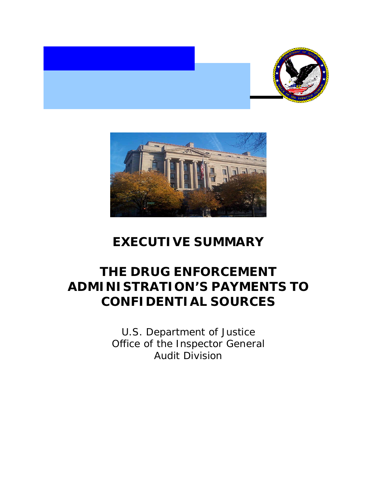



## **EXECUTIVE SUMMARY**

# **THE DRUG ENFORCEMENT ADMINISTRATION'S PAYMENTS TO CONFIDENTIAL SOURCES**

U.S. Department of Justice Office of the Inspector General Audit Division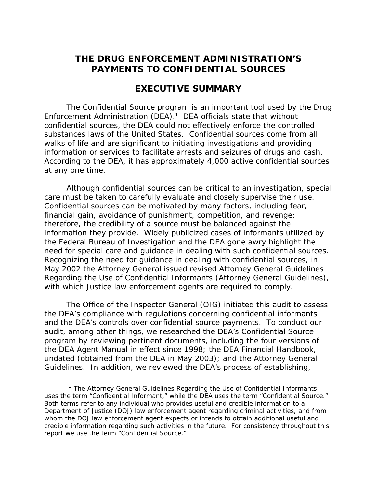## **THE DRUG ENFORCEMENT ADMINISTRATION'S PAYMENTS TO CONFIDENTIAL SOURCES**

## **EXECUTIVE SUMMARY**

The Confidential Source program is an important tool used by the Drug Enforcement Administration (DEA). $1$  DEA officials state that without confidential sources, the DEA could not effectively enforce the controlled substances laws of the United States. Confidential sources come from all walks of life and are significant to initiating investigations and providing information or services to facilitate arrests and seizures of drugs and cash. According to the DEA, it has approximately 4,000 active confidential sources at any one time.

Although confidential sources can be critical to an investigation, special care must be taken to carefully evaluate and closely supervise their use. Confidential sources can be motivated by many factors, including fear, financial gain, avoidance of punishment, competition, and revenge; therefore, the credibility of a source must be balanced against the information they provide. Widely publicized cases of informants utilized by the Federal Bureau of Investigation and the DEA gone awry highlight the need for special care and guidance in dealing with such confidential sources. Recognizing the need for guidance in dealing with confidential sources, in May 2002 the Attorney General issued revised *Attorney General Guidelines Regarding the Use of Confidential Informants* (*Attorney General Guidelines*), with which Justice law enforcement agents are required to comply.

The Office of the Inspector General (OIG) initiated this audit to assess the DEA's compliance with regulations concerning confidential informants and the DEA's controls over confidential source payments. To conduct our audit, among other things, we researched the DEA's Confidential Source program by reviewing pertinent documents, including the four versions of the *DEA Agent Manual* in effect since 1998; the *DEA Financial Handbook*, undated (obtained from the DEA in May 2003); and the *Attorney General Guidelines*. In addition, we reviewed the DEA's process of establishing,

 <sup>1</sup> The *Attorney General Guidelines Regarding the Use of Confidential Informants* uses the term "Confidential Informant," while the DEA uses the term "Confidential Source." Both terms refer to any individual who provides useful and credible information to a Department of Justice (DOJ) law enforcement agent regarding criminal activities, and from whom the DOJ law enforcement agent expects or intends to obtain additional useful and credible information regarding such activities in the future. For consistency throughout this report we use the term "Confidential Source."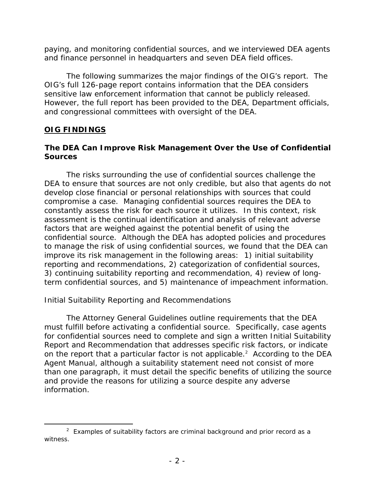paying, and monitoring confidential sources, and we interviewed DEA agents and finance personnel in headquarters and seven DEA field offices.

The following summarizes the major findings of the OIG's report. The OIG's full 126-page report contains information that the DEA considers sensitive law enforcement information that cannot be publicly released. However, the full report has been provided to the DEA, Department officials, and congressional committees with oversight of the DEA.

#### **OIG FINDINGS**

#### **The DEA Can Improve Risk Management Over the Use of Confidential Sources**

The risks surrounding the use of confidential sources challenge the DEA to ensure that sources are not only credible, but also that agents do not develop close financial or personal relationships with sources that could compromise a case. Managing confidential sources requires the DEA to constantly assess the risk for each source it utilizes. In this context, risk assessment is the continual identification and analysis of relevant adverse factors that are weighed against the potential benefit of using the confidential source. Although the DEA has adopted policies and procedures to manage the risk of using confidential sources, we found that the DEA can improve its risk management in the following areas: 1) initial suitability reporting and recommendations, 2) categorization of confidential sources, 3) continuing suitability reporting and recommendation, 4) review of longterm confidential sources, and 5) maintenance of impeachment information.

### *Initial Suitability Reporting and Recommendations*

 The *Attorney General Guidelines* outline requirements that the DEA must fulfill before activating a confidential source. Specifically, case agents for confidential sources need to complete and sign a written Initial Suitability Report and Recommendation that addresses specific risk factors, or indicate on the report that a particular factor is not applicable.<sup>2</sup> According to the *DEA Agent Manual*, although a suitability statement need not consist of more than one paragraph, it must detail the specific benefits of utilizing the source and provide the reasons for utilizing a source despite any adverse information.

 $\frac{1}{2}$  $2$  Examples of suitability factors are criminal background and prior record as a witness.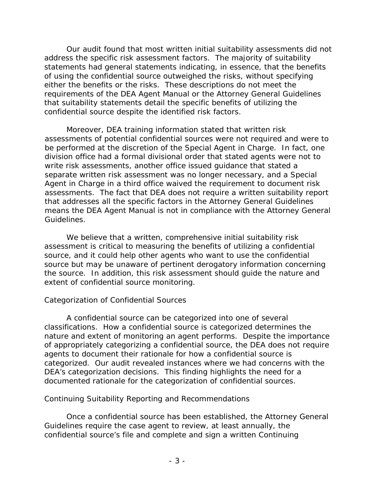Our audit found that most written initial suitability assessments did not address the specific risk assessment factors. The majority of suitability statements had general statements indicating, in essence, that the benefits of using the confidential source outweighed the risks, without specifying either the benefits or the risks. These descriptions do not meet the requirements of the *DEA Agent Manual* or the *Attorney General Guidelines* that suitability statements detail the specific benefits of utilizing the confidential source despite the identified risk factors.

 Moreover, DEA training information stated that written risk assessments of potential confidential sources were not required and were to be performed at the discretion of the Special Agent in Charge. In fact, one division office had a formal divisional order that stated agents were not to write risk assessments, another office issued guidance that stated a separate written risk assessment was no longer necessary, and a Special Agent in Charge in a third office waived the requirement to document risk assessments. The fact that DEA does not require a written suitability report that addresses all the specific factors in the *Attorney General Guidelines* means the *DEA Agent Manual* is not in compliance with the *Attorney General Guidelines*.

 We believe that a written, comprehensive initial suitability risk assessment is critical to measuring the benefits of utilizing a confidential source, and it could help other agents who want to use the confidential source but may be unaware of pertinent derogatory information concerning the source. In addition, this risk assessment should guide the nature and extent of confidential source monitoring.

### *Categorization of Confidential Sources*

A confidential source can be categorized into one of several classifications. How a confidential source is categorized determines the nature and extent of monitoring an agent performs. Despite the importance of appropriately categorizing a confidential source, the DEA does not require agents to document their rationale for how a confidential source is categorized. Our audit revealed instances where we had concerns with the DEA's categorization decisions. This finding highlights the need for a documented rationale for the categorization of confidential sources.

#### *Continuing Suitability Reporting and Recommendations*

 Once a confidential source has been established, the *Attorney General Guidelines* require the case agent to review, at least annually, the confidential source's file and complete and sign a written Continuing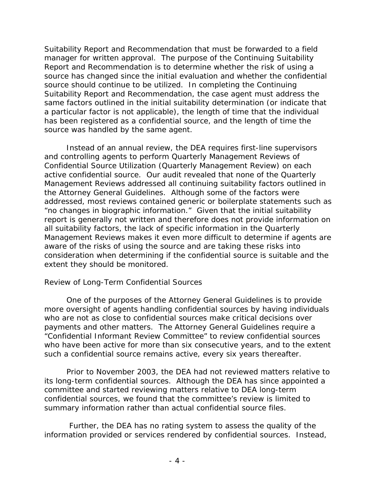Suitability Report and Recommendation that must be forwarded to a field manager for written approval. The purpose of the Continuing Suitability Report and Recommendation is to determine whether the risk of using a source has changed since the initial evaluation and whether the confidential source should continue to be utilized. In completing the Continuing Suitability Report and Recommendation, the case agent must address the same factors outlined in the initial suitability determination (or indicate that a particular factor is not applicable), the length of time that the individual has been registered as a confidential source, and the length of time the source was handled by the same agent.

 Instead of an annual review, the DEA requires first-line supervisors and controlling agents to perform Quarterly Management Reviews of Confidential Source Utilization (Quarterly Management Review) on each active confidential source. Our audit revealed that none of the Quarterly Management Reviews addressed all continuing suitability factors outlined in the *Attorney General Guidelines*. Although some of the factors were addressed, most reviews contained generic or boilerplate statements such as "no changes in biographic information." Given that the initial suitability report is generally not written and therefore does not provide information on all suitability factors, the lack of specific information in the Quarterly Management Reviews makes it even more difficult to determine if agents are aware of the risks of using the source and are taking these risks into consideration when determining if the confidential source is suitable and the extent they should be monitored.

#### *Review of Long-Term Confidential Sources*

 One of the purposes of the *Attorney General Guidelines* is to provide more oversight of agents handling confidential sources by having individuals who are not as close to confidential sources make critical decisions over payments and other matters. The *Attorney General Guidelines* require a "Confidential Informant Review Committee" to review confidential sources who have been active for more than six consecutive years, and to the extent such a confidential source remains active, every six years thereafter.

 Prior to November 2003, the DEA had not reviewed matters relative to its long-term confidential sources.Although the DEA has since appointed a committee and started reviewing matters relative to DEA long-term confidential sources, we found that the committee's review is limited to summary information rather than actual confidential source files.

 Further, the DEA has no rating system to assess the quality of the information provided or services rendered by confidential sources. Instead,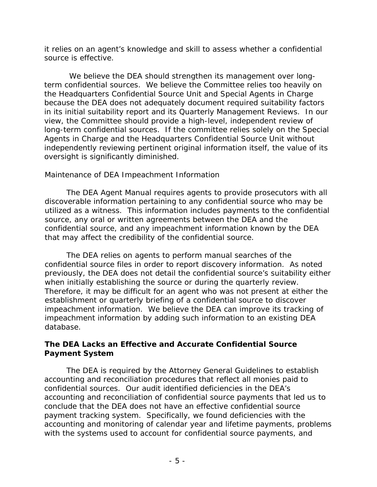it relies on an agent's knowledge and skill to assess whether a confidential source is effective.

 We believe the DEA should strengthen its management over longterm confidential sources. We believe the Committee relies too heavily on the Headquarters Confidential Source Unit and Special Agents in Charge because the DEA does not adequately document required suitability factors in its initial suitability report and its Quarterly Management Reviews. In our view, the Committee should provide a high-level, independent review of long-term confidential sources. If the committee relies solely on the Special Agents in Charge and the Headquarters Confidential Source Unit without independently reviewing pertinent original information itself, the value of its oversight is significantly diminished.

#### *Maintenance of DEA Impeachment Information*

The *DEA Agent Manual* requires agents to provide prosecutors with all discoverable information pertaining to any confidential source who may be utilized as a witness. This information includes payments to the confidential source, any oral or written agreements between the DEA and the confidential source, and any impeachment information known by the DEA that may affect the credibility of the confidential source.

The DEA relies on agents to perform manual searches of the confidential source files in order to report discovery information. As noted previously, the DEA does not detail the confidential source's suitability either when initially establishing the source or during the quarterly review. Therefore, it may be difficult for an agent who was not present at either the establishment or quarterly briefing of a confidential source to discover impeachment information. We believe the DEA can improve its tracking of impeachment information by adding such information to an existing DEA database.

#### **The DEA Lacks an Effective and Accurate Confidential Source Payment System**

 The DEA is required by the *Attorney General Guidelines* to establish accounting and reconciliation procedures that reflect *all* monies paid to confidential sources. Our audit identified deficiencies in the DEA's accounting and reconciliation of confidential source payments that led us to conclude that the DEA does not have an effective confidential source payment tracking system. Specifically, we found deficiencies with the accounting and monitoring of calendar year and lifetime payments, problems with the systems used to account for confidential source payments, and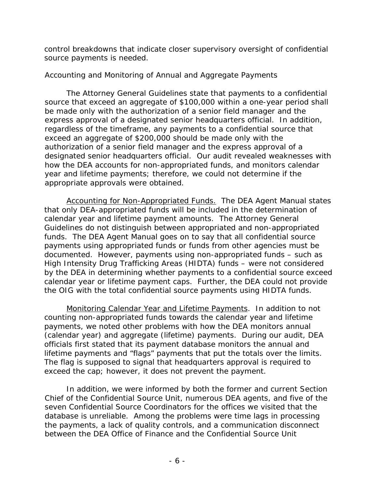control breakdowns that indicate closer supervisory oversight of confidential source payments is needed.

#### *Accounting and Monitoring of Annual and Aggregate Payments*

 The *Attorney General Guidelines* state that payments to a confidential source that exceed an aggregate of \$100,000 within a one-year period shall be made only with the authorization of a senior field manager and the express approval of a designated senior headquarters official. In addition, regardless of the timeframe, any payments to a confidential source that exceed an aggregate of \$200,000 should be made only with the authorization of a senior field manager and the express approval of a designated senior headquarters official. Our audit revealed weaknesses with how the DEA accounts for non-appropriated funds, and monitors calendar year and lifetime payments; therefore, we could not determine if the appropriate approvals were obtained.

Accounting for Non-Appropriated Funds. The *DEA Agent Manual* states that only DEA-appropriated funds will be included in the determination of calendar year and lifetime payment amounts. The *Attorney General Guidelines* do not distinguish between appropriated and non-appropriated funds. The *DEA Agent Manual* goes on to say that all confidential source payments using appropriated funds or funds from other agencies must be documented. However, payments using non-appropriated funds – such as High Intensity Drug Trafficking Areas (HIDTA) funds – were not considered by the DEA in determining whether payments to a confidential source exceed calendar year or lifetime payment caps. Further, the DEA could not provide the OIG with the total confidential source payments using HIDTA funds.

Monitoring Calendar Year and Lifetime Payments. In addition to not counting non-appropriated funds towards the calendar year and lifetime payments, we noted other problems with how the DEA monitors annual (calendar year) and aggregate (lifetime) payments. During our audit, DEA officials first stated that its payment database monitors the annual and lifetime payments and "flags" payments that put the totals over the limits. The flag is supposed to signal that headquarters approval is required to exceed the cap; however, it does not prevent the payment.

 In addition, we were informed by both the former and current Section Chief of the Confidential Source Unit, numerous DEA agents, and five of the seven Confidential Source Coordinators for the offices we visited that the database is unreliable. Among the problems were time lags in processing the payments, a lack of quality controls, and a communication disconnect between the DEA Office of Finance and the Confidential Source Unit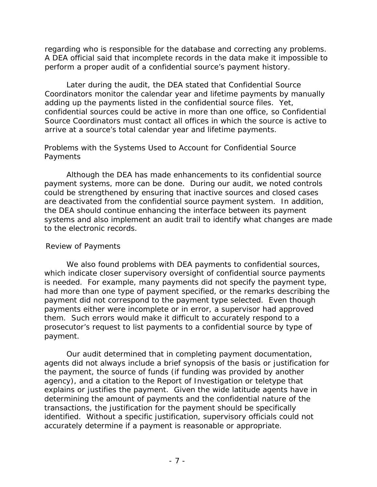regarding who is responsible for the database and correcting any problems. A DEA official said that incomplete records in the data make it impossible to perform a proper audit of a confidential source's payment history.

 Later during the audit, the DEA stated that Confidential Source Coordinators monitor the calendar year and lifetime payments by manually adding up the payments listed in the confidential source files. Yet, confidential sources could be active in more than one office, so Confidential Source Coordinators must contact all offices in which the source is active to arrive at a source's total calendar year and lifetime payments.

#### *Problems with the Systems Used to Account for Confidential Source Payments*

 Although the DEA has made enhancements to its confidential source payment systems, more can be done. During our audit, we noted controls could be strengthened by ensuring that inactive sources and closed cases are deactivated from the confidential source payment system. In addition, the DEA should continue enhancing the interface between its payment systems and also implement an audit trail to identify what changes are made to the electronic records.

#### *Review of Payments*

We also found problems with DEA payments to confidential sources, which indicate closer supervisory oversight of confidential source payments is needed. For example, many payments did not specify the payment type, had more than one type of payment specified, or the remarks describing the payment did not correspond to the payment type selected. Even though payments either were incomplete or in error, a supervisor had approved them. Such errors would make it difficult to accurately respond to a prosecutor's request to list payments to a confidential source by type of payment.

Our audit determined that in completing payment documentation, agents did not always include a brief synopsis of the basis or justification for the payment, the source of funds (if funding was provided by another agency), and a citation to the Report of Investigation or teletype that explains or justifies the payment. Given the wide latitude agents have in determining the amount of payments and the confidential nature of the transactions, the justification for the payment should be specifically identified. Without a specific justification, supervisory officials could not accurately determine if a payment is reasonable or appropriate.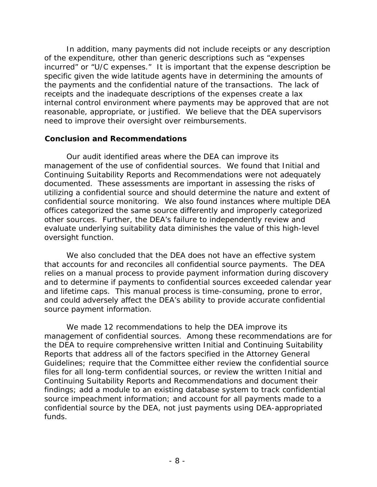In addition, many payments did not include receipts or any description of the expenditure, other than generic descriptions such as "expenses incurred" or "U/C expenses." It is important that the expense description be specific given the wide latitude agents have in determining the amounts of the payments and the confidential nature of the transactions. The lack of receipts and the inadequate descriptions of the expenses create a lax internal control environment where payments may be approved that are not reasonable, appropriate, or justified. We believe that the DEA supervisors need to improve their oversight over reimbursements.

#### **Conclusion and Recommendations**

Our audit identified areas where the DEA can improve its management of the use of confidential sources. We found that Initial and Continuing Suitability Reports and Recommendations were not adequately documented. These assessments are important in assessing the risks of utilizing a confidential source and should determine the nature and extent of confidential source monitoring. We also found instances where multiple DEA offices categorized the same source differently and improperly categorized other sources. Further, the DEA's failure to independently review and evaluate underlying suitability data diminishes the value of this high-level oversight function.

We also concluded that the DEA does not have an effective system that accounts for and reconciles all confidential source payments. The DEA relies on a manual process to provide payment information during discovery and to determine if payments to confidential sources exceeded calendar year and lifetime caps. This manual process is time-consuming, prone to error, and could adversely affect the DEA's ability to provide accurate confidential source payment information.

We made 12 recommendations to help the DEA improve its management of confidential sources. Among these recommendations are for the DEA to require comprehensive written Initial and Continuing Suitability Reports that address all of the factors specified in the *Attorney General Guidelines*; require that the Committee either review the confidential source files for all long-term confidential sources, or review the written Initial and Continuing Suitability Reports and Recommendations and document their findings; add a module to an existing database system to track confidential source impeachment information; and account for all payments made to a confidential source by the DEA, not just payments using DEA-appropriated funds.